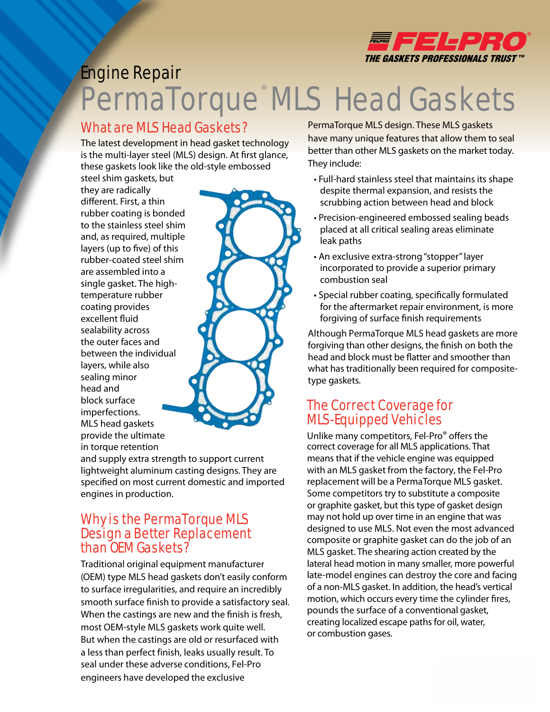

# Engine Repair PermaTorque MLS Head Gaskets

#### What are MLS Head Gaskets?

The latest development in head gasket technology is the multi-layer steel (MLS) design. At first glance, these gaskets look like the old-style embossed

steel shim gaskets, but they are radically different. First, a thin rubber coating is bonded to the stainless steel shim and, as required, multiple layers (up to five) of this rubber-coated steel shim are assembled into a single gasket. The hightemperature rubber coating provides excellent fluid sealability across the outer faces and between the individual layers, while also sealing minor head and block surface imperfections. MLS head gaskets provide the ultimate in torque retention

and supply extra strength to support current lightweight aluminum casting designs. They are specified on most current domestic and imported engines in production.

#### Why is the PermaTorque MLS Design a Better Replacement than OEM Gaskets?

Traditional original equipment manufacturer (OEM) type MLS head gaskets don't easily conform to surface irregularities, and require an incredibly smooth surface finish to provide a satisfactory seal. When the castings are new and the finish is fresh, most OEM-style MLS gaskets work quite well. But when the castings are old or resurfaced with a less than perfect finish, leaks usually result. To seal under these adverse conditions, Fel-Pro engineers have developed the exclusive

PermaTorque MLS design. These MLS gaskets have many unique features that allow them to seal better than other MLS gaskets on the market today. They include:

- Full-hard stainless steel that maintains its shape despite thermal expansion, and resists the scrubbing action between head and block
- Precision-engineered embossed sealing beads placed at all critical sealing areas eliminate leak paths
- An exclusive extra-strong "stopper" layer incorporated to provide a superior primary combustion seal
- Special rubber coating, specifically formulated for the aftermarket repair environment, is more forgiving of surface finish requirements

Although PermaTorque MLS head gaskets are more forgiving than other designs, the finish on both the head and block must be flatter and smoother than what has traditionally been required for compositetype gaskets.

### The Correct Coverage for MLS-Equipped Vehicles

Unlike many competitors, Fel-Pro® offers the correct coverage for all MLS applications. That means that if the vehicle engine was equipped with an MLS gasket from the factory, the Fel-Pro replacement will be a PermaTorque MLS gasket. Some competitors try to substitute a composite or graphite gasket, but this type of gasket design may not hold up over time in an engine that was designed to use MLS. Not even the most advanced composite or graphite gasket can do the job of an MLS gasket. The shearing action created by the lateral head motion in many smaller, more powerful late-model engines can destroy the core and facing of a non-MLS gasket. In addition, the head's vertical motion, which occurs every time the cylinder fires, pounds the surface of a conventional gasket, creating localized escape paths for oil, water, or combustion gases.